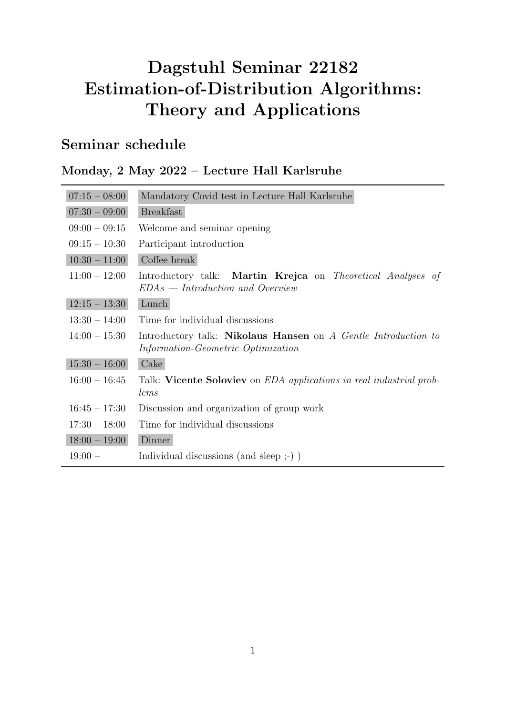# Dagstuhl Seminar 22182 Estimation-of-Distribution Algorithms: Theory and Applications

### Seminar schedule

#### Monday, 2 May 2022 – Lecture Hall Karlsruhe

| $07:15 - 08:00$ | Mandatory Covid test in Lecture Hall Karlsruhe                                                       |
|-----------------|------------------------------------------------------------------------------------------------------|
| $07:30 - 09:00$ | <b>Breakfast</b>                                                                                     |
| $09:00 - 09:15$ | Welcome and seminar opening                                                                          |
| $09:15 - 10:30$ | Participant introduction                                                                             |
| $10:30 - 11:00$ | Coffee break                                                                                         |
| $11:00 - 12:00$ | Introductory talk: Martin Krejca on Theoretical Analyses of<br>$EDAs = Introduction$ and Overview    |
| $12:15 - 13:30$ | Lunch                                                                                                |
| $13:30 - 14:00$ | Time for individual discussions                                                                      |
| $14:00 - 15:30$ | Introductory talk: Nikolaus Hansen on A Gentle Introduction to<br>Information-Geometric Optimization |
| $15:30 - 16:00$ | Cake                                                                                                 |
| $16:00 - 16:45$ | Talk: Vicente Soloviev on <i>EDA</i> applications in real industrial prob-<br>lems                   |
| $16:45 - 17:30$ | Discussion and organization of group work                                                            |
| $17:30 - 18:00$ | Time for individual discussions                                                                      |
| $18:00 - 19:00$ | Dinner                                                                                               |
| $19:00 -$       | Individual discussions (and sleep $;$ -))                                                            |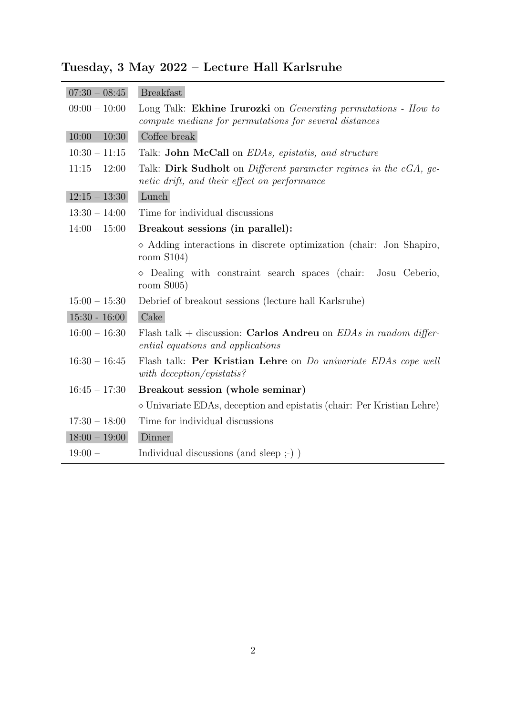| Tuesday, 3 May 2022 - Lecture Hall Karlsruhe |  |  |  |  |
|----------------------------------------------|--|--|--|--|
|----------------------------------------------|--|--|--|--|

| $07:30 - 08:45$ | <b>Breakfast</b>                                                                                                                |
|-----------------|---------------------------------------------------------------------------------------------------------------------------------|
| $09:00 - 10:00$ | Long Talk: Ekhine Irurozki on <i>Generating permutations - How to</i><br>compute medians for permutations for several distances |
| $10:00 - 10:30$ | Coffee break                                                                                                                    |
| $10:30 - 11:15$ | Talk: <b>John McCall</b> on <i>EDAs</i> , epistatis, and structure                                                              |
| $11:15 - 12:00$ | Talk: Dirk Sudholt on Different parameter regimes in the cGA, ge-<br>netic drift, and their effect on performance               |
| $12:15 - 13:30$ | Lunch                                                                                                                           |
| $13:30 - 14:00$ | Time for individual discussions                                                                                                 |
| $14:00 - 15:00$ | Breakout sessions (in parallel):                                                                                                |
|                 | $\diamond$ Adding interactions in discrete optimization (chair: Jon Shapiro,<br>room $S104$                                     |
|                 | $\Diamond$ Dealing with constraint search spaces (chair: Josu Ceberio,<br>room $S$ 005)                                         |
| $15:00 - 15:30$ | Debrief of breakout sessions (lecture hall Karlsruhe)                                                                           |
| $15:30 - 16:00$ | Cake                                                                                                                            |
| $16:00 - 16:30$ | Flash talk + discussion: Carlos Andreu on $EDAs$ in random differ-<br>ential equations and applications                         |
| $16:30 - 16:45$ | Flash talk: Per Kristian Lehre on <i>Do univariate EDAs cope well</i><br>with deception/epistatis?                              |
| $16:45 - 17:30$ | Breakout session (whole seminar)                                                                                                |
|                 | $\diamond$ Univariate EDAs, deception and epistatis (chair: Per Kristian Lehre)                                                 |
| $17:30 - 18:00$ | Time for individual discussions                                                                                                 |
| $18:00 - 19:00$ | Dinner                                                                                                                          |
| $19:00 -$       | Individual discussions (and sleep ;-) )                                                                                         |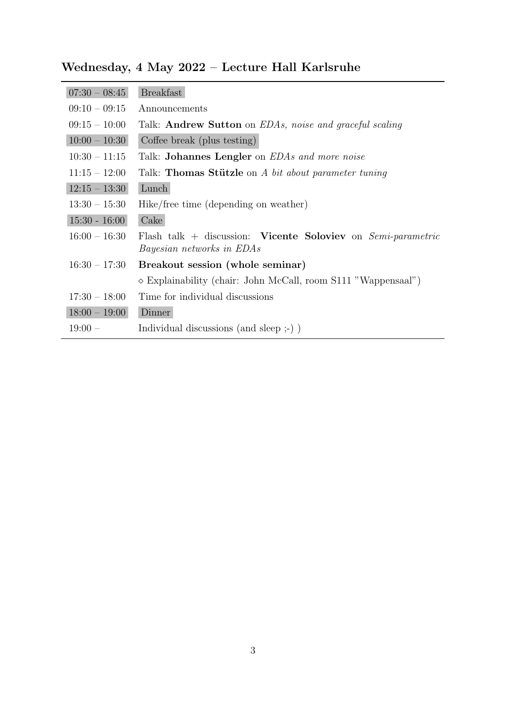| $07:30 - 08:45$ | <b>Breakfast</b>                                                                                   |
|-----------------|----------------------------------------------------------------------------------------------------|
| $09:10 - 09:15$ | Announcements                                                                                      |
| $09:15 - 10:00$ | Talk: <b>Andrew Sutton</b> on <i>EDAs, noise and graceful scaling</i>                              |
| $10:00 - 10:30$ | Coffee break (plus testing)                                                                        |
| $10:30 - 11:15$ | Talk: <b>Johannes Lengler</b> on <i>EDAs and more noise</i>                                        |
| $11:15 - 12:00$ | Talk: Thomas Stützle on A bit about parameter tuning                                               |
| $12:15 - 13:30$ | Lunch                                                                                              |
| $13:30 - 15:30$ | Hike/free time (depending on weather)                                                              |
| $15:30 - 16:00$ | Cake                                                                                               |
| $16:00 - 16:30$ | Flash talk + discussion: Vicente Soloviev on $Semi-parametric$<br><i>Bayesian networks in EDAs</i> |
| $16:30 - 17:30$ | Breakout session (whole seminar)                                                                   |
|                 | $\diamond$ Explainability (chair: John McCall, room S111 "Wappensaal")                             |
| $17:30 - 18:00$ | Time for individual discussions                                                                    |
| $18:00 - 19:00$ | Dinner                                                                                             |
| $19:00 -$       | Individual discussions (and sleep $;$ ) $)$                                                        |
|                 |                                                                                                    |

### Wednesday, 4 May 2022 – Lecture Hall Karlsruhe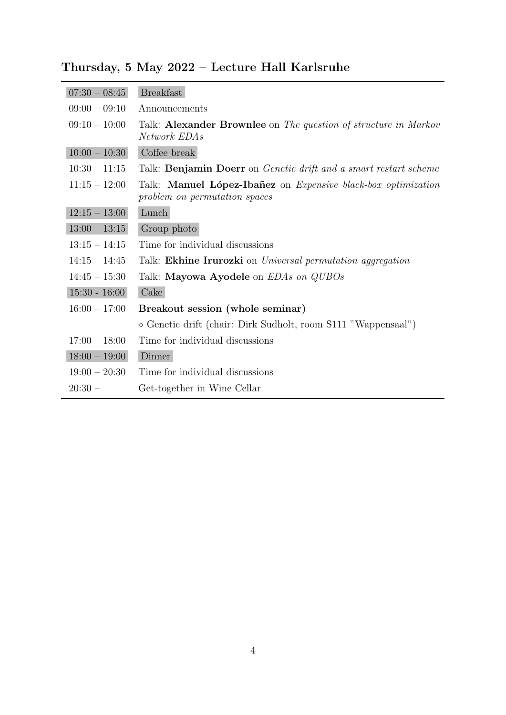## Thursday, 5 May 2022 – Lecture Hall Karlsruhe

 $\overline{\phantom{a}}$ 

| $07:30 - 08:45$ | <b>Breakfast</b>                                                                               |
|-----------------|------------------------------------------------------------------------------------------------|
| $09:00 - 09:10$ | Announcements                                                                                  |
| $09:10 - 10:00$ | Talk: Alexander Brownlee on The question of structure in Markov<br>Network EDAs                |
| $10:00 - 10:30$ | Coffee break                                                                                   |
| $10:30 - 11:15$ | Talk: Benjamin Doerr on Genetic drift and a smart restart scheme                               |
| $11:15 - 12:00$ | Talk: Manuel López-Ibañez on Expensive black-box optimization<br>problem on permutation spaces |
| $12:15 - 13:00$ | Lunch                                                                                          |
| $13:00 - 13:15$ | Group photo                                                                                    |
| $13:15 - 14:15$ | Time for individual discussions                                                                |
| $14:15 - 14:45$ | Talk: <b>Ekhine Irurozki</b> on <i>Universal permutation aggregation</i>                       |
| $14:45 - 15:30$ | Talk: Mayowa Ayodele on <i>EDAs on QUBOs</i>                                                   |
| $15:30 - 16:00$ | Cake                                                                                           |
| $16:00 - 17:00$ | Breakout session (whole seminar)                                                               |
|                 | $\diamond$ Genetic drift (chair: Dirk Sudholt, room S111 "Wappensaal")                         |
| $17:00 - 18:00$ | Time for individual discussions                                                                |
| $18:00 - 19:00$ | Dinner                                                                                         |
| $19:00 - 20:30$ | Time for individual discussions                                                                |
| $20:30 -$       | Get-together in Wine Cellar                                                                    |